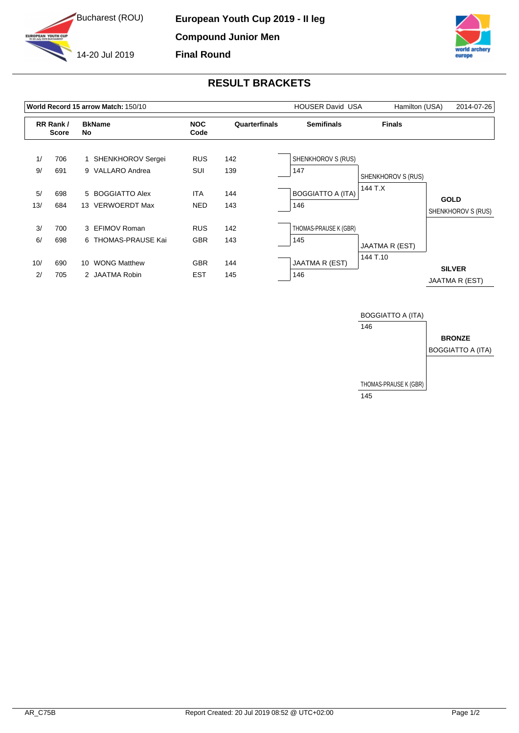



## **RESULT BRACKETS**

|     |                          |    | World Record 15 arrow Match: 150/10 |                    | <b>HOUSER David USA</b> | Hamilton (USA)           | 2014-07-26         |                                   |
|-----|--------------------------|----|-------------------------------------|--------------------|-------------------------|--------------------------|--------------------|-----------------------------------|
|     | RR Rank/<br><b>Score</b> | No | <b>BkName</b>                       | <b>NOC</b><br>Code | Quarterfinals           | <b>Semifinals</b>        | <b>Finals</b>      |                                   |
| 1/  | 706                      |    | <b>SHENKHOROV Sergei</b>            | <b>RUS</b>         | 142                     | SHENKHOROV S (RUS)       |                    |                                   |
| 9/  | 691                      |    | 9 VALLARO Andrea                    | SUI                | 139                     | 147                      | SHENKHOROV S (RUS) |                                   |
| 5/  | 698                      |    | 5 BOGGIATTO Alex                    | <b>ITA</b>         | 144                     | <b>BOGGIATTO A (ITA)</b> | 144 T.X            |                                   |
| 13/ | 684                      |    | 13 VERWOERDT Max                    | <b>NED</b>         | 143                     | 146                      |                    | <b>GOLD</b><br>SHENKHOROV S (RUS) |
| 3/  | 700                      |    | 3 EFIMOV Roman                      | <b>RUS</b>         | 142                     | THOMAS-PRAUSE K (GBR)    |                    |                                   |
| 6/  | 698                      |    | 6 THOMAS-PRAUSE Kai                 | <b>GBR</b>         | 143                     | 145                      | JAATMA R (EST)     |                                   |
| 10/ | 690                      | 10 | <b>WONG Matthew</b>                 | <b>GBR</b>         | 144                     | <b>JAATMA R (EST)</b>    | 144 T.10           |                                   |
| 2/  | 705                      |    | 2 JAATMA Robin                      | <b>EST</b>         | 145                     | 146                      |                    | <b>SILVER</b><br>JAATMA R (EST)   |